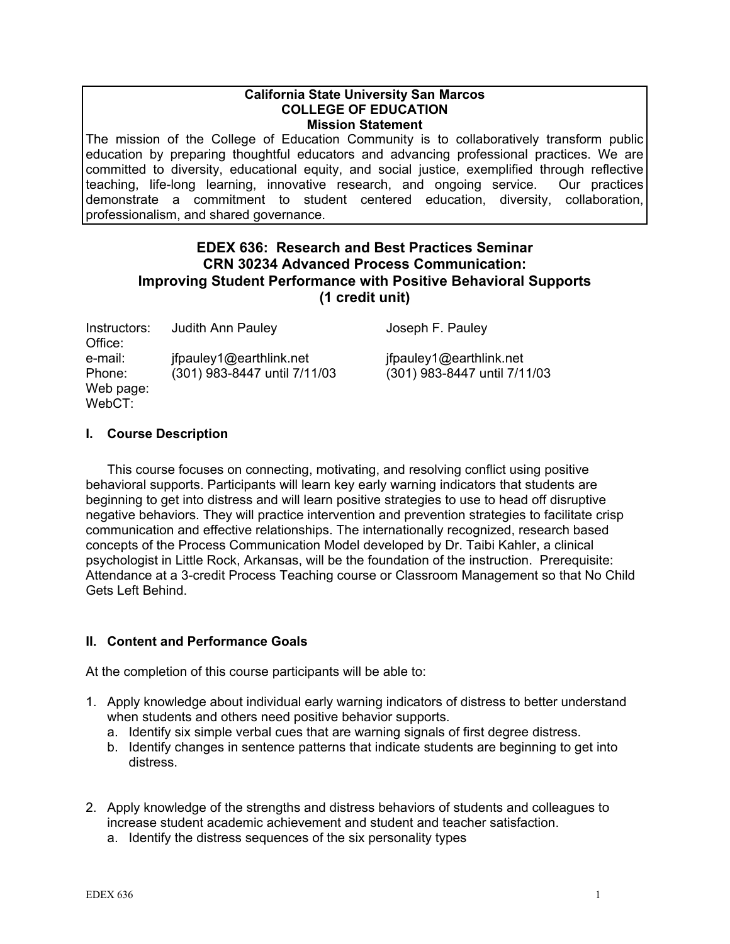#### **California State University San Marcos COLLEGE OF EDUCATION Mission Statement**

The mission of the College of Education Community is to collaboratively transform public education by preparing thoughtful educators and advancing professional practices. We are committed to diversity, educational equity, and social justice, exemplified through reflective teaching, life-long learning, innovative research, and ongoing service. Our practices demonstrate a commitment to student centered education, diversity, collaboration, professionalism, and shared governance.

# **EDEX 636: Research and Best Practices Seminar CRN 30234 Advanced Process Communication: Improving Student Performance with Positive Behavioral Supports (1 credit unit)**

| Instructors: | <b>Judith Ann Pauley</b>     |
|--------------|------------------------------|
| Office:      |                              |
| e-mail:      | ifpauley1@earthlink.net      |
| Phone:       | (301) 983-8447 until 7/11/03 |
| Web page:    |                              |
| WebCT:       |                              |

Joseph F. Pauley

 $if pauley1@earthlink.net$ Phone: (301) 983-8447 until 7/11/03 (301) 983-8447 until 7/11/03

# **I. Course Description**

This course focuses on connecting, motivating, and resolving conflict using positive behavioral supports. Participants will learn key early warning indicators that students are beginning to get into distress and will learn positive strategies to use to head off disruptive negative behaviors. They will practice intervention and prevention strategies to facilitate crisp communication and effective relationships. The internationally recognized, research based concepts of the Process Communication Model developed by Dr. Taibi Kahler, a clinical psychologist in Little Rock, Arkansas, will be the foundation of the instruction. Prerequisite: Attendance at a 3-credit Process Teaching course or Classroom Management so that No Child Gets Left Behind.

# **II. Content and Performance Goals**

At the completion of this course participants will be able to:

- 1. Apply knowledge about individual early warning indicators of distress to better understand when students and others need positive behavior supports.
	- a. Identify six simple verbal cues that are warning signals of first degree distress.
	- b. Identify changes in sentence patterns that indicate students are beginning to get into distress.
- 2. Apply knowledge of the strengths and distress behaviors of students and colleagues to increase student academic achievement and student and teacher satisfaction.
	- a. Identify the distress sequences of the six personality types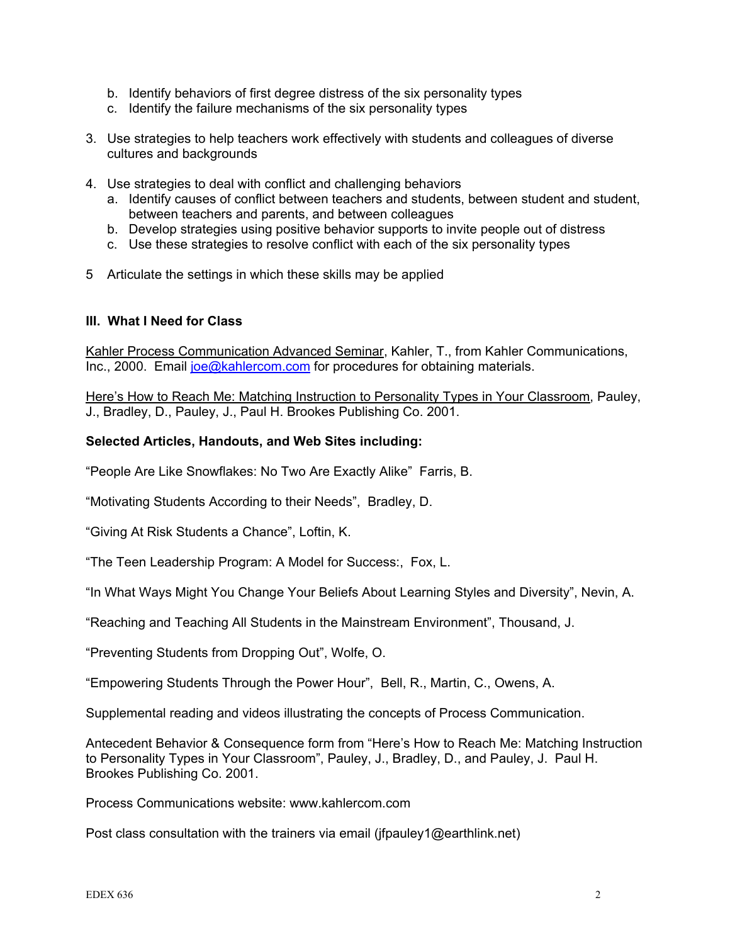- b. Identify behaviors of first degree distress of the six personality types
- c. Identify the failure mechanisms of the six personality types
- 3. Use strategies to help teachers work effectively with students and colleagues of diverse cultures and backgrounds
- 4. Use strategies to deal with conflict and challenging behaviors
	- a. Identify causes of conflict between teachers and students, between student and student, between teachers and parents, and between colleagues
	- b. Develop strategies using positive behavior supports to invite people out of distress
	- c. Use these strategies to resolve conflict with each of the six personality types
- 5 Articulate the settings in which these skills may be applied

## **III. What I Need for Class**

Kahler Process Communication Advanced Seminar, Kahler, T., from Kahler Communications, Inc., 2000. Email [joe@kahlercom.com](mailto:joe@kahlercom.com) for procedures for obtaining materials.

Here's How to Reach Me: Matching Instruction to Personality Types in Your Classroom, Pauley, J., Bradley, D., Pauley, J., Paul H. Brookes Publishing Co. 2001.

## **Selected Articles, Handouts, and Web Sites including:**

"People Are Like Snowflakes: No Two Are Exactly Alike" Farris, B.

"Motivating Students According to their Needs", Bradley, D.

"Giving At Risk Students a Chance", Loftin, K.

"The Teen Leadership Program: A Model for Success:, Fox, L.

"In What Ways Might You Change Your Beliefs About Learning Styles and Diversity", Nevin, A.

"Reaching and Teaching All Students in the Mainstream Environment", Thousand, J.

"Preventing Students from Dropping Out", Wolfe, O.

"Empowering Students Through the Power Hour", Bell, R., Martin, C., Owens, A.

Supplemental reading and videos illustrating the concepts of Process Communication.

Antecedent Behavior & Consequence form from "Here's How to Reach Me: Matching Instruction to Personality Types in Your Classroom", Pauley, J., Bradley, D., and Pauley, J. Paul H. Brookes Publishing Co. 2001.

Process Communications website: www.kahlercom.com

Post class consultation with the trainers via email (jfpauley1@earthlink.net)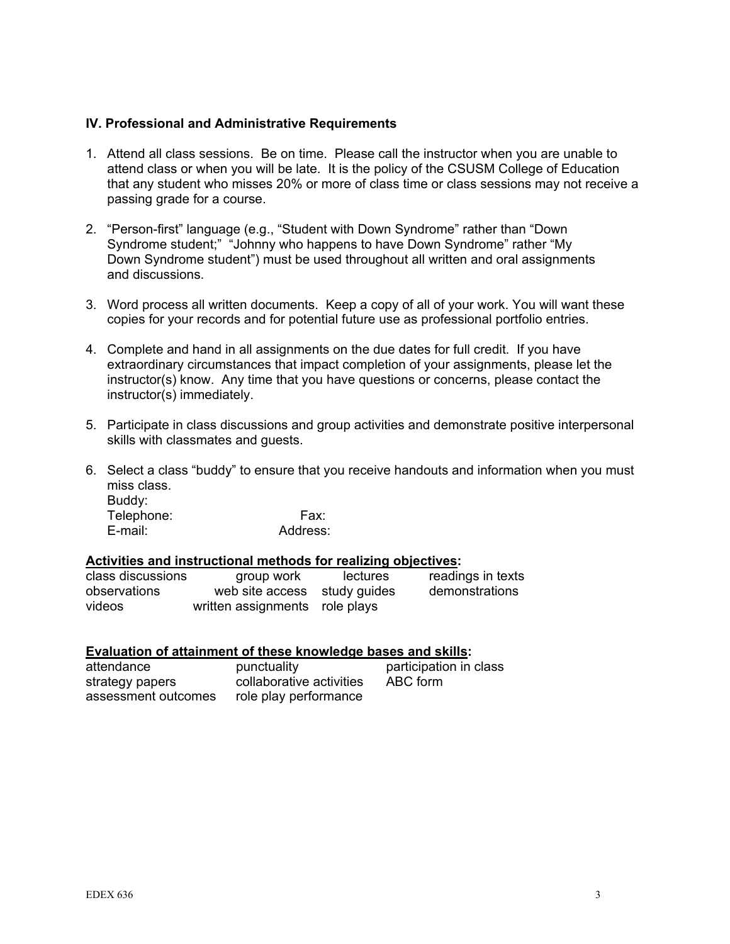### **IV. Professional and Administrative Requirements**

- 1. Attend all class sessions. Be on time. Please call the instructor when you are unable to attend class or when you will be late. It is the policy of the CSUSM College of Education that any student who misses 20% or more of class time or class sessions may not receive a passing grade for a course.
- 2. "Person-first" language (e.g., "Student with Down Syndrome" rather than "Down Syndrome student;" "Johnny who happens to have Down Syndrome" rather "My Down Syndrome student") must be used throughout all written and oral assignments and discussions.
- 3. Word process all written documents. Keep a copy of all of your work. You will want these copies for your records and for potential future use as professional portfolio entries.
- 4. Complete and hand in all assignments on the due dates for full credit. If you have extraordinary circumstances that impact completion of your assignments, please let the instructor(s) know. Any time that you have questions or concerns, please contact the instructor(s) immediately.
- 5. Participate in class discussions and group activities and demonstrate positive interpersonal skills with classmates and guests.
- 6. Select a class "buddy" to ensure that you receive handouts and information when you must miss class. Buddy: Telephone: Fax:

E-mail: Address:

#### **Activities and instructional methods for realizing objectives:**

| class discussions | group work                     | lectures | readings in texts |
|-------------------|--------------------------------|----------|-------------------|
| observations      | web site access study guides   |          | demonstrations    |
| videos            | written assignments role plays |          |                   |

#### **Evaluation of attainment of these knowledge bases and skills:**

| attendance          | punctuality              | participation in class |
|---------------------|--------------------------|------------------------|
| strategy papers     | collaborative activities | ABC form               |
| assessment outcomes | role play performance    |                        |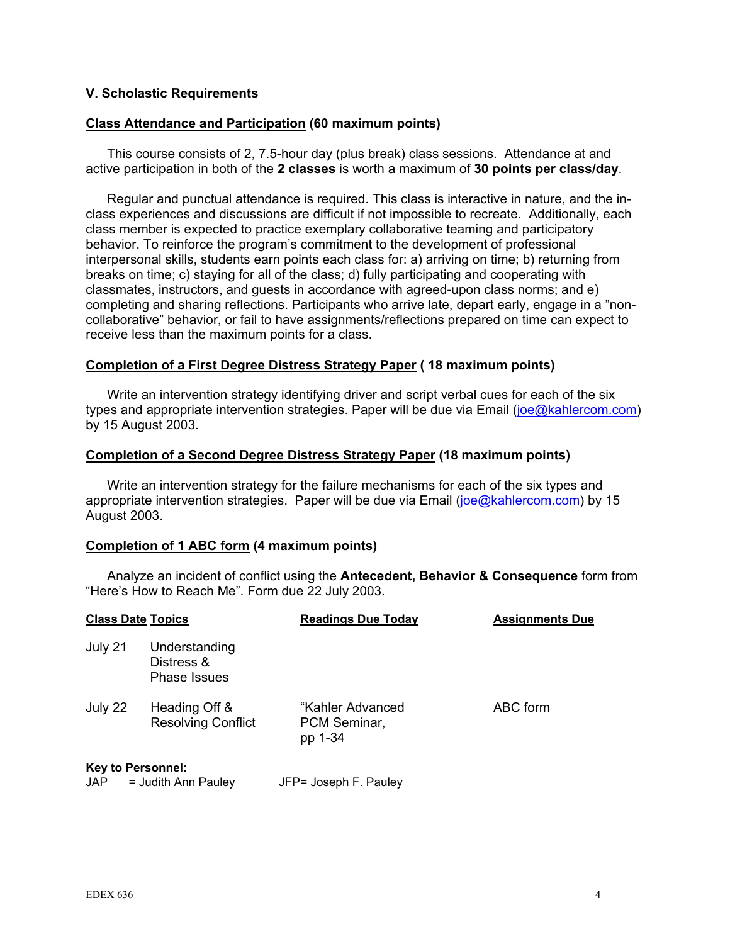### **V. Scholastic Requirements**

#### **Class Attendance and Participation (60 maximum points)**

This course consists of 2, 7.5-hour day (plus break) class sessions. Attendance at and active participation in both of the **2 classes** is worth a maximum of **30 points per class/day**.

Regular and punctual attendance is required. This class is interactive in nature, and the inclass experiences and discussions are difficult if not impossible to recreate. Additionally, each class member is expected to practice exemplary collaborative teaming and participatory behavior. To reinforce the program's commitment to the development of professional interpersonal skills, students earn points each class for: a) arriving on time; b) returning from breaks on time; c) staying for all of the class; d) fully participating and cooperating with classmates, instructors, and guests in accordance with agreed-upon class norms; and e) completing and sharing reflections. Participants who arrive late, depart early, engage in a "noncollaborative" behavior, or fail to have assignments/reflections prepared on time can expect to receive less than the maximum points for a class.

#### **Completion of a First Degree Distress Strategy Paper ( 18 maximum points)**

Write an intervention strategy identifying driver and script verbal cues for each of the six types and appropriate intervention strategies. Paper will be due via Email ([joe@kahlercom.com](mailto:joe@kahlercom.com)) by 15 August 2003.

#### **Completion of a Second Degree Distress Strategy Paper (18 maximum points)**

Write an intervention strategy for the failure mechanisms for each of the six types and appropriate intervention strategies. Paper will be due via Email [\(joe@kahlercom.com\)](mailto:joe@kahlercom.com) by 15 August 2003.

#### **Completion of 1 ABC form (4 maximum points)**

Analyze an incident of conflict using the **Antecedent, Behavior & Consequence** form from "Here's How to Reach Me". Form due 22 July 2003.

| <b>Class Date Topics</b>         |                                             | <b>Readings Due Today</b>                   | <b>Assignments Due</b> |  |
|----------------------------------|---------------------------------------------|---------------------------------------------|------------------------|--|
| July 21                          | Understanding<br>Distress &<br>Phase Issues |                                             |                        |  |
| July 22                          | Heading Off &<br><b>Resolving Conflict</b>  | "Kahler Advanced<br>PCM Seminar,<br>pp 1-34 | ABC form               |  |
| <b>Key to Personnel:</b><br>JAP. | = Judith Ann Pauley                         | JFP= Joseph F. Pauley                       |                        |  |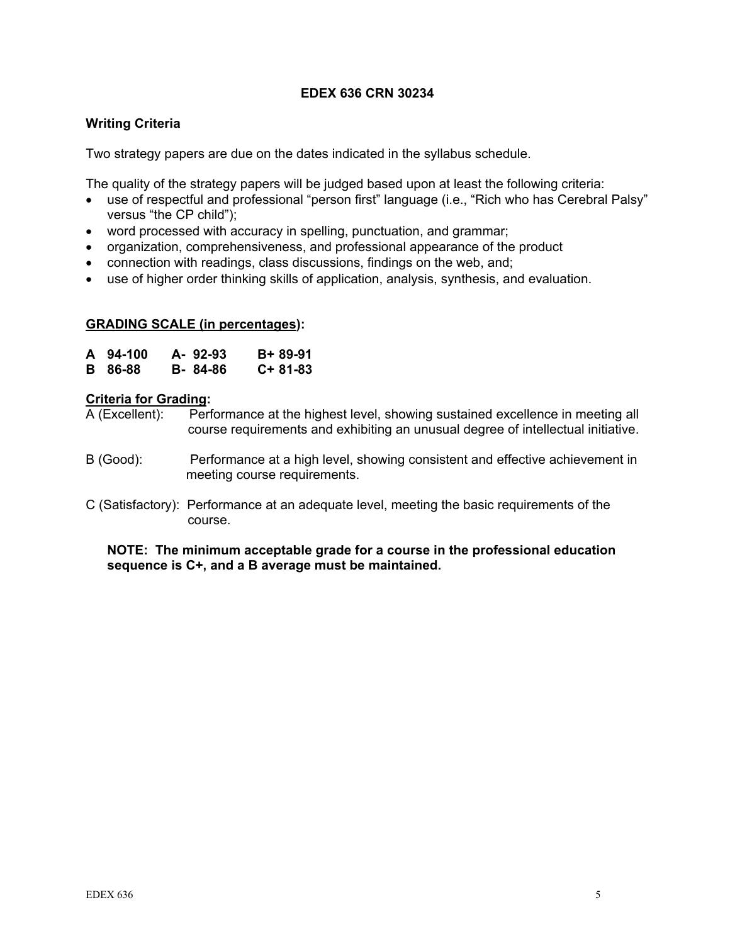## **EDEX 636 CRN 30234**

# **Writing Criteria**

Two strategy papers are due on the dates indicated in the syllabus schedule.

The quality of the strategy papers will be judged based upon at least the following criteria:

- use of respectful and professional "person first" language (i.e., "Rich who has Cerebral Palsy" versus "the CP child");
- word processed with accuracy in spelling, punctuation, and grammar;
- organization, comprehensiveness, and professional appearance of the product
- connection with readings, class discussions, findings on the web, and;
- use of higher order thinking skills of application, analysis, synthesis, and evaluation.

## **GRADING SCALE (in percentages):**

| A 94-100       | A-92-93 | B+ 89-91  |
|----------------|---------|-----------|
| <b>B</b> 86-88 | B-84-86 | $C+81-83$ |

#### **Criteria for Grading:**

A (Excellent): Performance at the highest level, showing sustained excellence in meeting all course requirements and exhibiting an unusual degree of intellectual initiative.

- B (Good): Performance at a high level, showing consistent and effective achievement in meeting course requirements.
- C (Satisfactory): Performance at an adequate level, meeting the basic requirements of the course.

**NOTE: The minimum acceptable grade for a course in the professional education sequence is C+, and a B average must be maintained.**